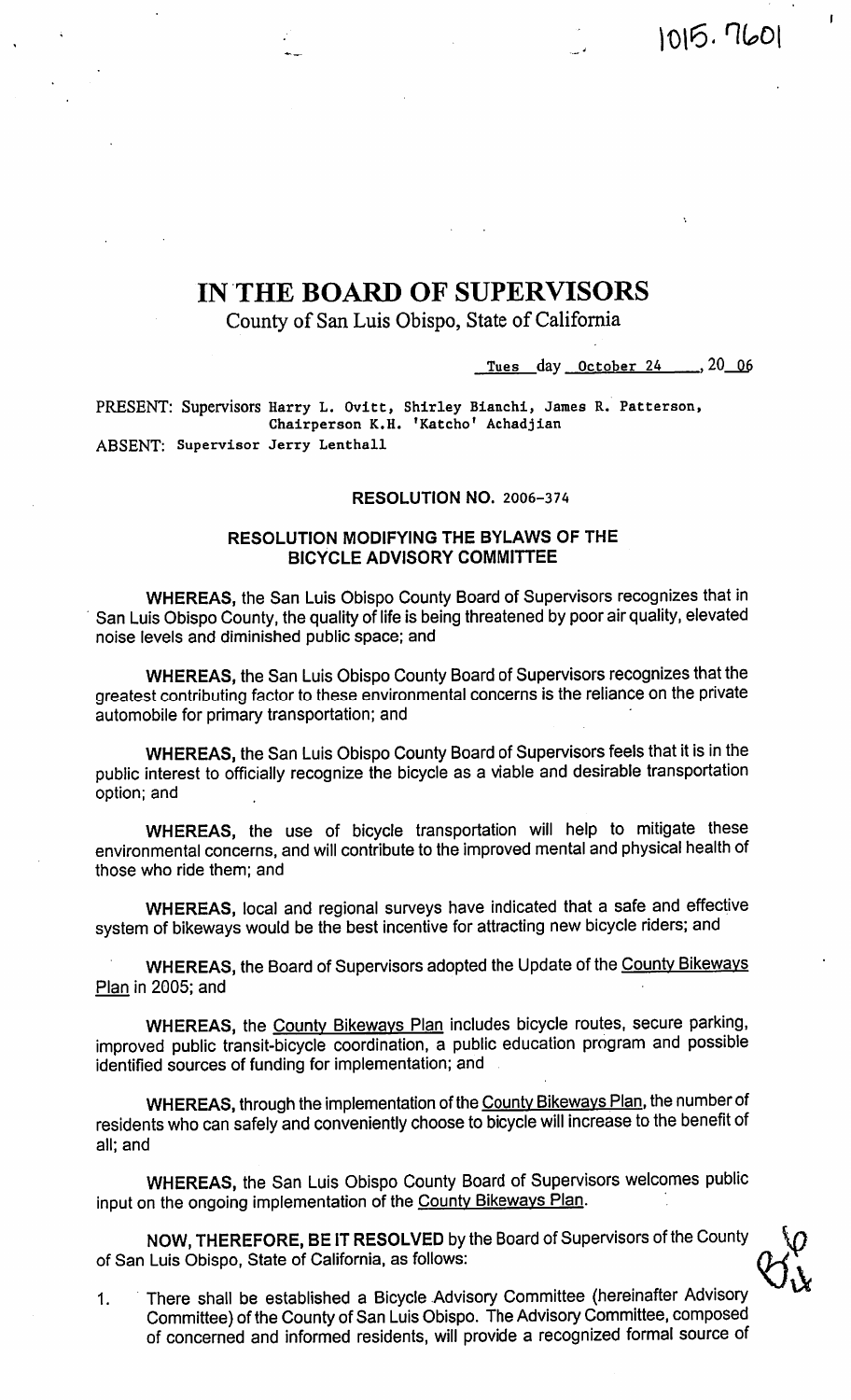# IN THE BOARD OF SUPERVISORS

County of San Luis Obispo, State of California

Tues day October 24 , 20 06

1015.7601

PRESENT: Supervisors Harry L. Ovitt, Shirley Bianchi, James R. Patterson,<br>Chairperson K.H. 'Katcho' Achadjian ABSENT: Supervisor Jerry Lenthall

#### RESOLUTION NO. 2006-374

#### **RESOLUTION MODIFYING THE BYLAWS OF THE BICYCLE ADVISORY COMMITTEE**

WHEREAS, the San Luis Obispo County Board of Supervisors recognizes that in San Luis Obispo County, the quality of life is being threatened by poor air quality, elevated noise levels and diminished public space; and

WHEREAS, the San Luis Obispo County Board of Supervisors recognizes that the greatest contributing factor to these environmental concerns is the reliance on the private automobile for primary transportation; and

WHEREAS, the San Luis Obispo County Board of Supervisors feels that it is in the public interest to officially recognize the bicycle as a viable and desirable transportation option; and

WHEREAS, the use of bicycle transportation will help to mitigate these environmental concerns, and will contribute to the improved mental and physical health of those who ride them; and

WHEREAS, local and regional surveys have indicated that a safe and effective system of bikeways would be the best incentive for attracting new bicycle riders; and

WHEREAS, the Board of Supervisors adopted the Update of the County Bikeways Plan in 2005; and

WHEREAS, the County Bikeways Plan includes bicycle routes, secure parking, improved public transit-bicycle coordination, a public education program and possible identified sources of funding for implementation; and

WHEREAS, through the implementation of the County Bikeways Plan, the number of residents who can safely and conveniently choose to bicycle will increase to the benefit of all: and

WHEREAS, the San Luis Obispo County Board of Supervisors welcomes public input on the ongoing implementation of the County Bikeways Plan.

NOW, THEREFORE, BE IT RESOLVED by the Board of Supervisors of the County of San Luis Obispo, State of California, as follows:

There shall be established a Bicycle Advisory Committee (hereinafter Advisory  $1.$ Committee) of the County of San Luis Obispo. The Advisory Committee, composed of concerned and informed residents, will provide a recognized formal source of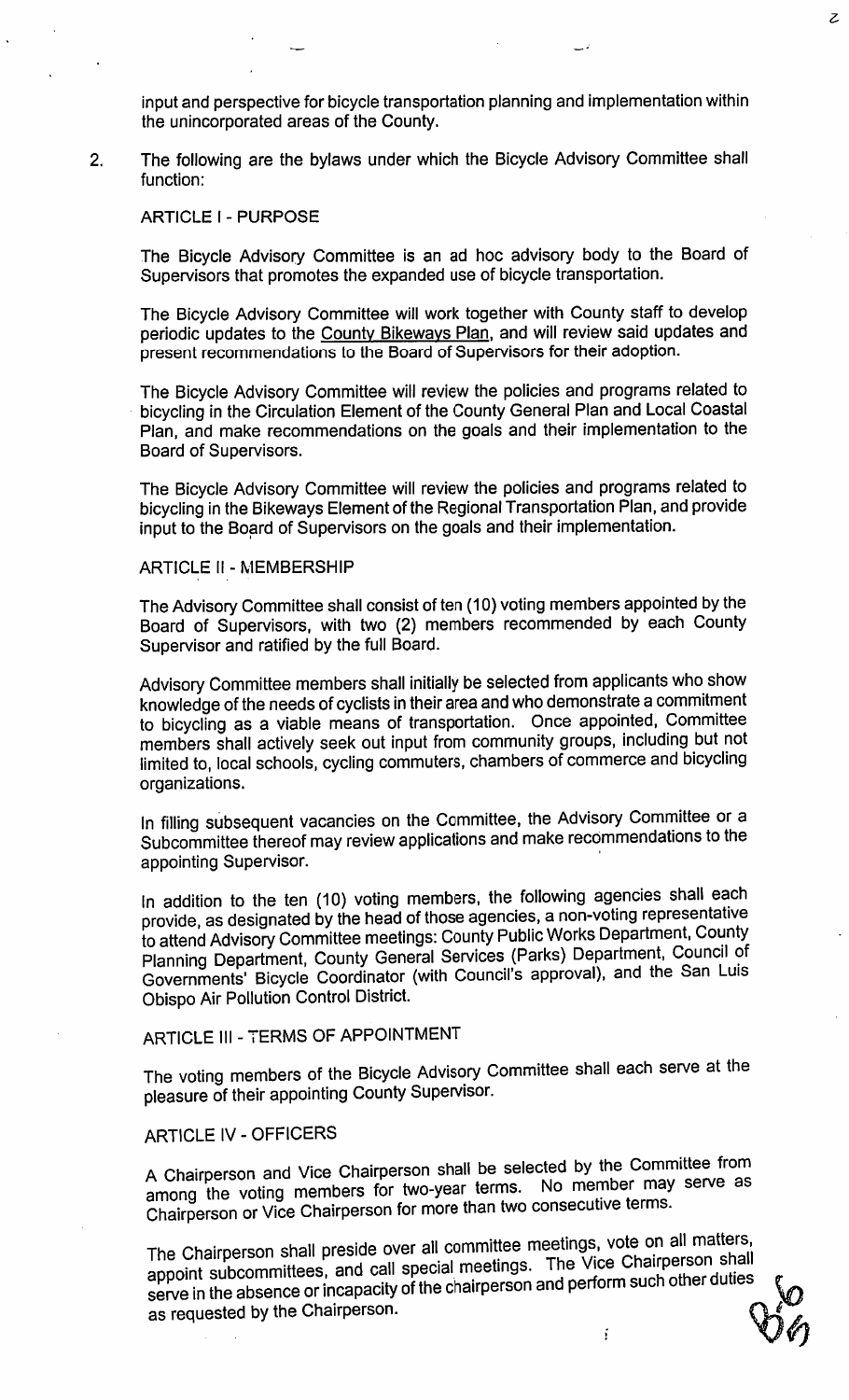input and perspective for bicycle transportation planning and implementation within the unincorporated areas of the County.

 $\mathcal{Z}$ 

The following are the bylaws under which the Bicycle Advisory Committee shall  $2.$ function:

#### **ARTICLE I - PURPOSE**

The Bicycle Advisory Committee is an ad hoc advisory body to the Board of Supervisors that promotes the expanded use of bicycle transportation.

The Bicycle Advisory Committee will work together with County staff to develop periodic updates to the County Bikeways Plan, and will review said updates and present recommendations to the Board of Supervisors for their adoption.

The Bicycle Advisory Committee will review the policies and programs related to bicycling in the Circulation Element of the County General Plan and Local Coastal Plan, and make recommendations on the goals and their implementation to the Board of Supervisors.

The Bicycle Advisory Committee will review the policies and programs related to bicycling in the Bikeways Element of the Regional Transportation Plan, and provide input to the Board of Supervisors on the goals and their implementation.

#### **ARTICLE II - MEMBERSHIP**

The Advisory Committee shall consist of ten (10) voting members appointed by the Board of Supervisors, with two (2) members recommended by each County Supervisor and ratified by the full Board.

Advisory Committee members shall initially be selected from applicants who show knowledge of the needs of cyclists in their area and who demonstrate a commitment to bicycling as a viable means of transportation. Once appointed, Committee members shall actively seek out input from community groups, including but not limited to, local schools, cycling commuters, chambers of commerce and bicycling organizations.

In filling subsequent vacancies on the Committee, the Advisory Committee or a Subcommittee thereof may review applications and make recommendations to the appointing Supervisor.

In addition to the ten (10) voting members, the following agencies shall each provide, as designated by the head of those agencies, a non-voting representative to attend Advisory Committee meetings: County Public Works Department, County Planning Department, County General Services (Parks) Department, Council of Governments' Bicycle Coordinator (with Council's approval), and the San Luis Obispo Air Pollution Control District.

# ARTICLE III - TERMS OF APPOINTMENT

The voting members of the Bicycle Advisory Committee shall each serve at the pleasure of their appointing County Supervisor.

## **ARTICLE IV - OFFICERS**

A Chairperson and Vice Chairperson shall be selected by the Committee from among the voting members for two-year terms. No member may serve as Chairperson or Vice Chairperson for more than two consecutive terms.

The Chairperson shall preside over all committee meetings, vote on all matters, appoint subcommittees, and call special meetings. The Vice Chairperson shall serve in the absence or incapacity of the chairperson and perform such other duties as requested by the Chairperson.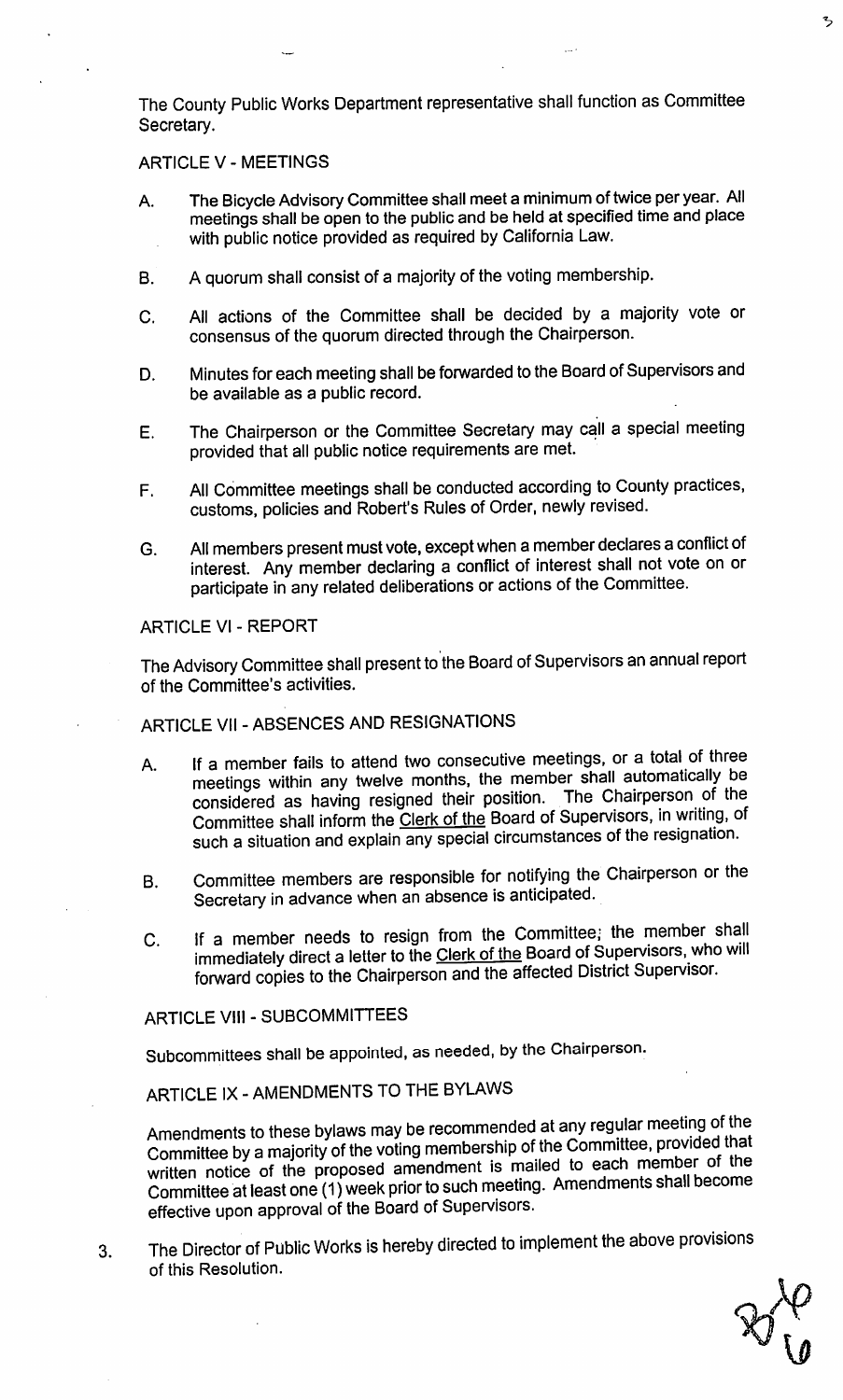The County Public Works Department representative shall function as Committee Secretary.

#### **ARTICLE V - MEETINGS**

- The Bicycle Advisory Committee shall meet a minimum of twice per year. All A. meetings shall be open to the public and be held at specified time and place with public notice provided as required by California Law.
- A quorum shall consist of a majority of the voting membership. **B.**
- All actions of the Committee shall be decided by a majority vote or C. consensus of the quorum directed through the Chairperson.
- Minutes for each meeting shall be forwarded to the Board of Supervisors and D. be available as a public record.
- The Chairperson or the Committee Secretary may call a special meeting E. provided that all public notice requirements are met.
- All Committee meetings shall be conducted according to County practices,  $F_{\perp}$ customs, policies and Robert's Rules of Order, newly revised.
- All members present must vote, except when a member declares a conflict of G. interest. Any member declaring a conflict of interest shall not vote on or participate in any related deliberations or actions of the Committee.

**ARTICLE VI - REPORT** 

The Advisory Committee shall present to the Board of Supervisors an annual report of the Committee's activities.

ARTICLE VII - ABSENCES AND RESIGNATIONS

- If a member fails to attend two consecutive meetings, or a total of three А. meetings within any twelve months, the member shall automatically be considered as having resigned their position. The Chairperson of the Committee shall inform the Clerk of the Board of Supervisors, in writing, of such a situation and explain any special circumstances of the resignation.
- Committee members are responsible for notifying the Chairperson or the **B.** Secretary in advance when an absence is anticipated.
- If a member needs to resign from the Committee; the member shall  $C_{\cdot}$ immediately direct a letter to the Clerk of the Board of Supervisors, who will forward copies to the Chairperson and the affected District Supervisor.

**ARTICLE VIII - SUBCOMMITTEES** 

Subcommittees shall be appointed, as needed, by the Chairperson.

ARTICLE IX - AMENDMENTS TO THE BYLAWS

Amendments to these bylaws may be recommended at any regular meeting of the Committee by a majority of the voting membership of the Committee, provided that written notice of the proposed amendment is mailed to each member of the Committee at least one (1) week prior to such meeting. Amendments shall become effective upon approval of the Board of Supervisors.

The Director of Public Works is hereby directed to implement the above provisions 3. of this Resolution.

ろ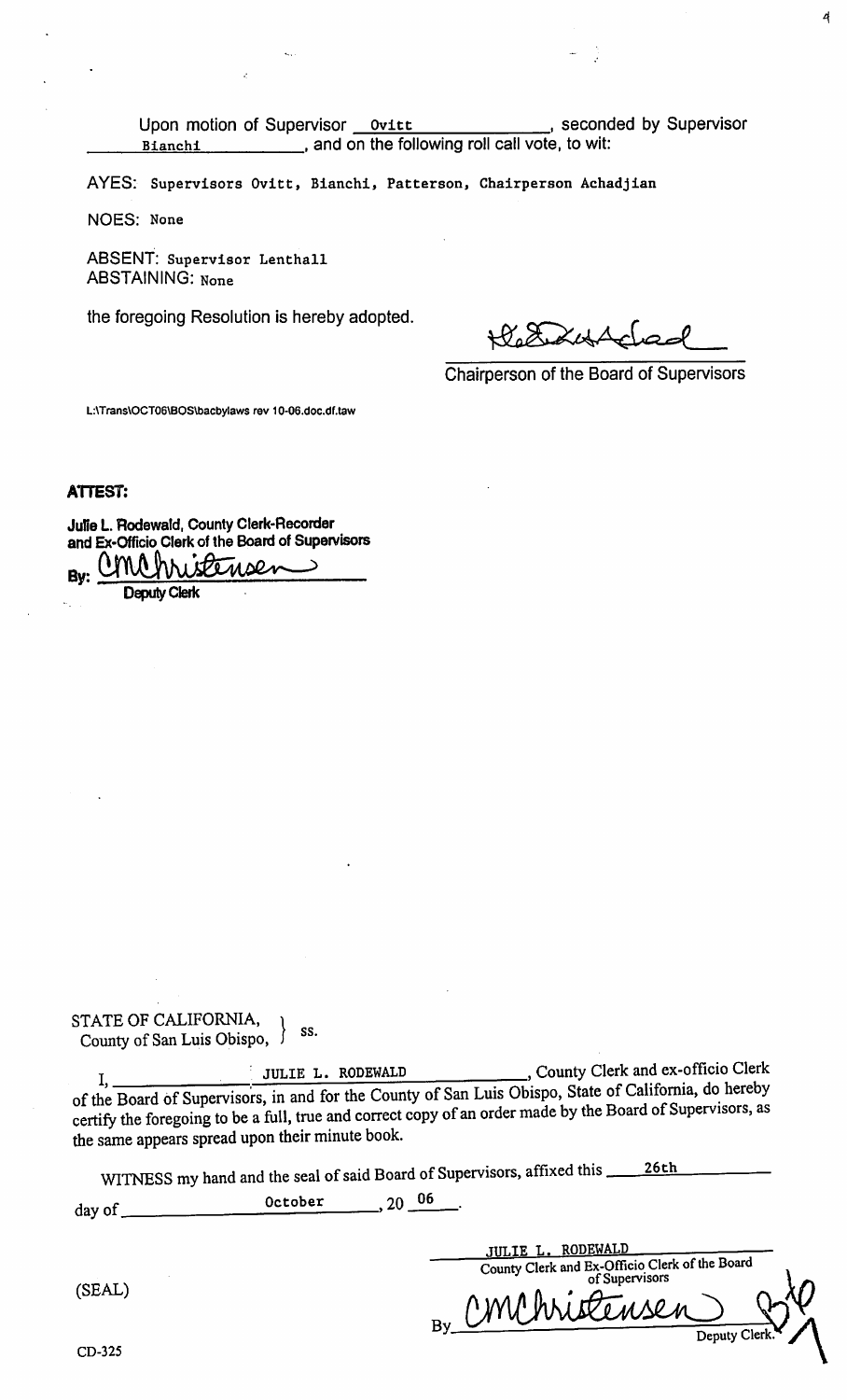Upon motion of Supervisor Ovitt , seconded by Supervisor and on the following roll call vote, to wit: Bianchi

AYES: Supervisors Ovitt, Bianchi, Patterson, Chairperson Achadjian

NOES: None

ABSENT: Supervisor Lenthall **ABSTAINING: None** 

the foregoing Resolution is hereby adopted.

4

Chairperson of the Board of Supervisors

L:\Trans\OCT06\BOS\bacbylaws rev 10-06.doc.df.taw

**ATTEST:** 

Julie L. Rodewald, County Clerk-Recorder and Ex-Officio Clerk of the Board of Supervisors

**UMA** hh  $1500$   $M$ Rv.

**Deputy Clerk** 

STATE OF CALIFORNIA, County of San Luis Obispo, SS.

..., County Clerk and ex-officio Clerk JULIE L. RODEWALD I, of the Board of Supervisors, in and for the County of San Luis Obispo, State of California, do hereby certify the foregoing to be a full, true and correct copy of an order made by the Board of Supervisors, as the same appears spread upon their minute book.

WITNESS my hand and the seal of said Board of Supervisors, affixed this <u>26th</u>

 $, 20 \underline{06}$ October day of  $\overline{\phantom{a}}$ 

(SEAL)

County Clerk and Ex-Officio Clerk of the Board<br>of Supervisors Deputy Cler

**JULIE L. RODEWALD**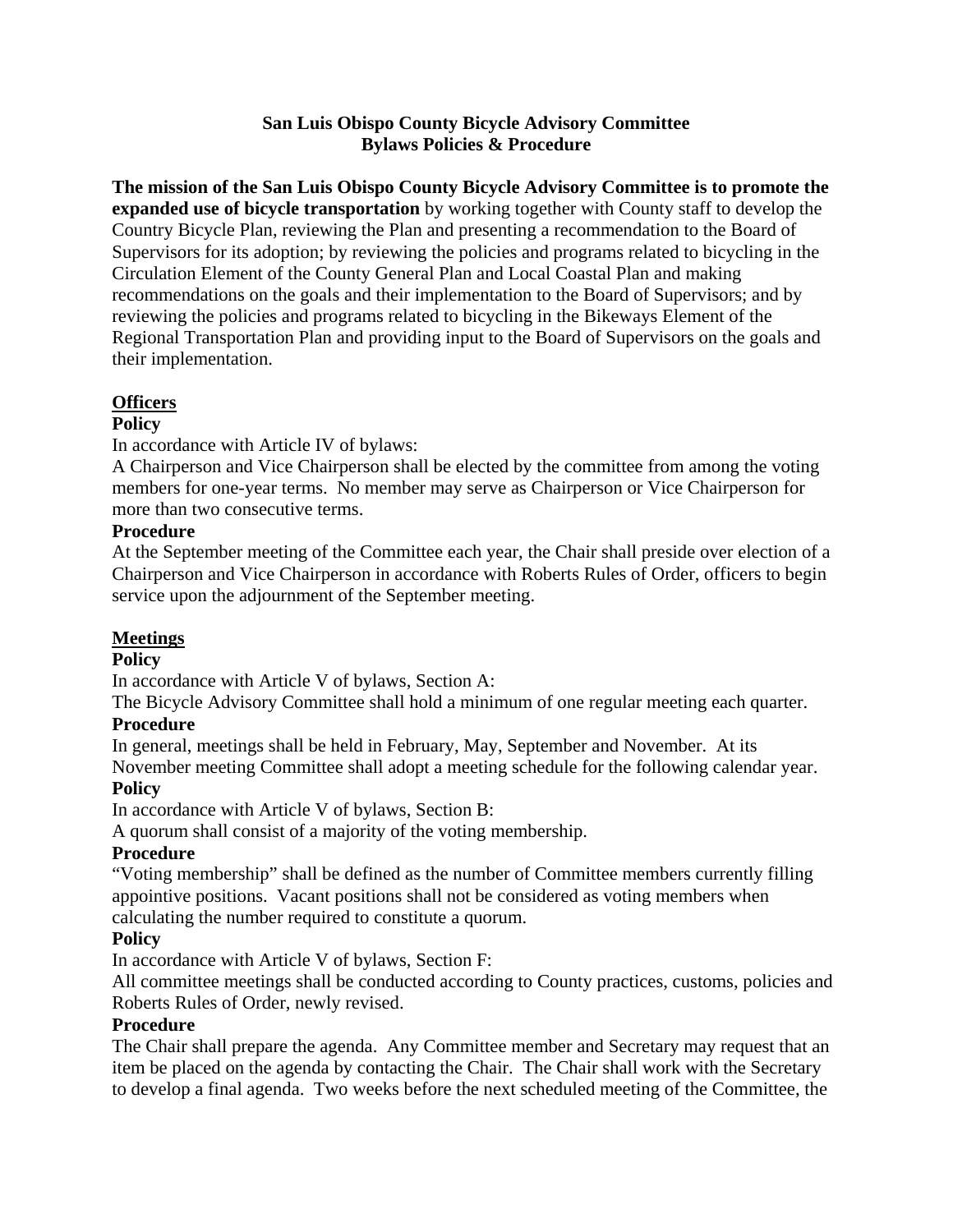#### **San Luis Obispo County Bicycle Advisory Committee Bylaws Policies & Procedure**

**The mission of the San Luis Obispo County Bicycle Advisory Committee is to promote the expanded use of bicycle transportation** by working together with County staff to develop the Country Bicycle Plan, reviewing the Plan and presenting a recommendation to the Board of Supervisors for its adoption; by reviewing the policies and programs related to bicycling in the Circulation Element of the County General Plan and Local Coastal Plan and making recommendations on the goals and their implementation to the Board of Supervisors; and by reviewing the policies and programs related to bicycling in the Bikeways Element of the Regional Transportation Plan and providing input to the Board of Supervisors on the goals and their implementation.

#### **Officers**

#### **Policy**

In accordance with Article IV of bylaws:

A Chairperson and Vice Chairperson shall be elected by the committee from among the voting members for one-year terms. No member may serve as Chairperson or Vice Chairperson for more than two consecutive terms.

#### **Procedure**

At the September meeting of the Committee each year, the Chair shall preside over election of a Chairperson and Vice Chairperson in accordance with Roberts Rules of Order, officers to begin service upon the adjournment of the September meeting.

#### **Meetings**

#### **Policy**

In accordance with Article V of bylaws, Section A:

The Bicycle Advisory Committee shall hold a minimum of one regular meeting each quarter.

## **Procedure**

In general, meetings shall be held in February, May, September and November. At its

November meeting Committee shall adopt a meeting schedule for the following calendar year. **Policy**

In accordance with Article V of bylaws, Section B:

A quorum shall consist of a majority of the voting membership.

## **Procedure**

"Voting membership" shall be defined as the number of Committee members currently filling appointive positions. Vacant positions shall not be considered as voting members when calculating the number required to constitute a quorum.

## **Policy**

In accordance with Article V of bylaws, Section F:

All committee meetings shall be conducted according to County practices, customs, policies and Roberts Rules of Order, newly revised.

## **Procedure**

The Chair shall prepare the agenda. Any Committee member and Secretary may request that an item be placed on the agenda by contacting the Chair. The Chair shall work with the Secretary to develop a final agenda. Two weeks before the next scheduled meeting of the Committee, the